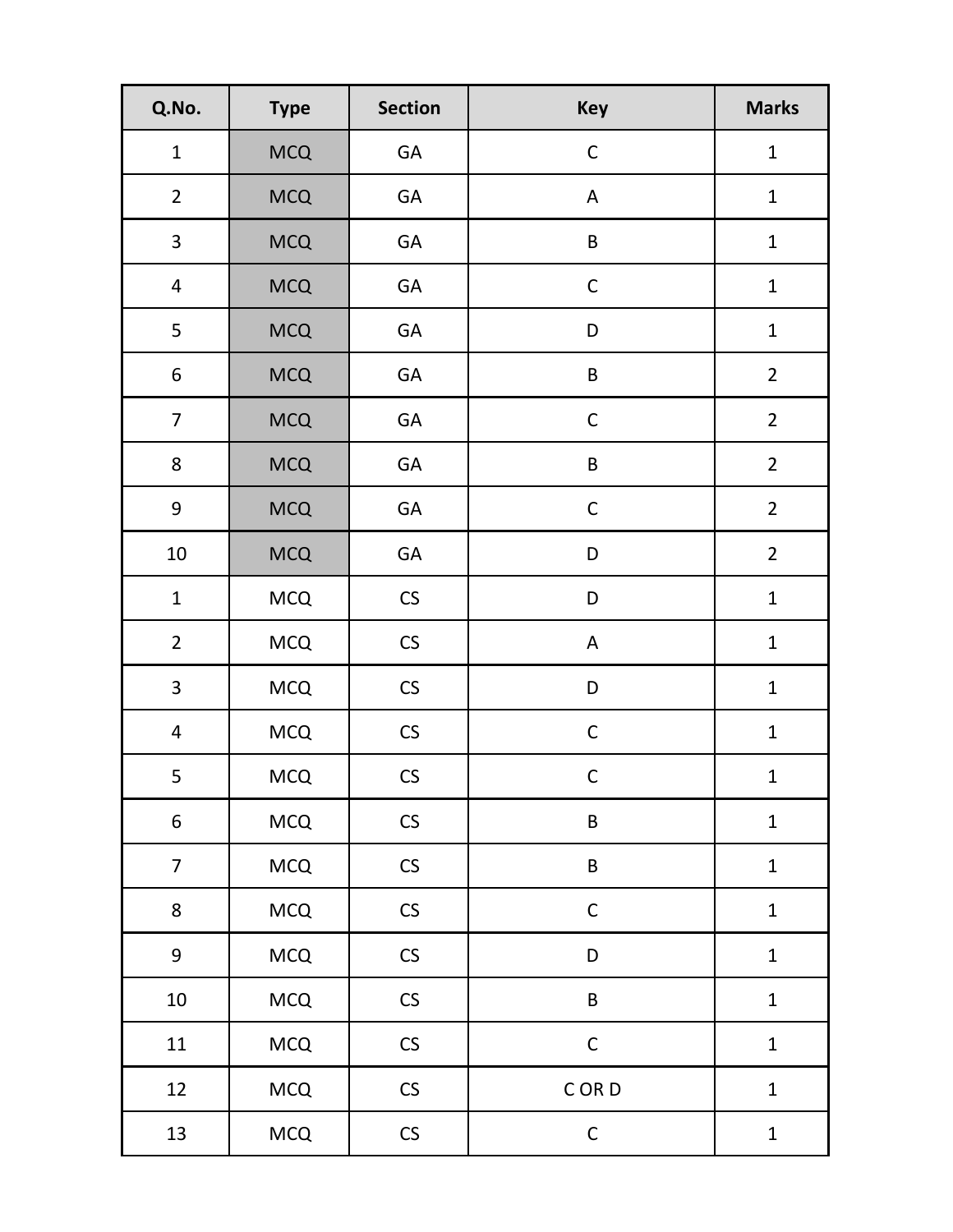| Q.No.                   | <b>Type</b> | <b>Section</b> | <b>Key</b>                | <b>Marks</b>   |
|-------------------------|-------------|----------------|---------------------------|----------------|
| $\mathbf{1}$            | <b>MCQ</b>  | GA             | $\mathsf C$               | $\mathbf{1}$   |
| $\overline{2}$          | <b>MCQ</b>  | GA             | $\boldsymbol{\mathsf{A}}$ | $\mathbf{1}$   |
| $\overline{\mathbf{3}}$ | <b>MCQ</b>  | GA             | $\sf B$                   | $\mathbf{1}$   |
| $\overline{4}$          | <b>MCQ</b>  | GA             | $\mathsf C$               | $\mathbf{1}$   |
| 5                       | <b>MCQ</b>  | GA             | D                         | $\mathbf 1$    |
| $\boldsymbol{6}$        | <b>MCQ</b>  | GA             | $\sf B$                   | $\overline{2}$ |
| $\overline{7}$          | <b>MCQ</b>  | GA             | $\mathsf C$               | $\overline{2}$ |
| 8                       | <b>MCQ</b>  | GA             | $\sf B$                   | $\overline{2}$ |
| $\boldsymbol{9}$        | <b>MCQ</b>  | GA             | $\mathsf C$               | $\overline{2}$ |
| $10\,$                  | <b>MCQ</b>  | GA             | D                         | $\overline{2}$ |
| $\mathbf{1}$            | <b>MCQ</b>  | ${\sf CS}$     | D                         | $\mathbf 1$    |
| $\overline{2}$          | <b>MCQ</b>  | ${\sf CS}$     | $\mathsf A$               | $\mathbf 1$    |
| $\overline{\mathbf{3}}$ | <b>MCQ</b>  | ${\sf CS}$     | D                         | $\mathbf 1$    |
| $\overline{4}$          | <b>MCQ</b>  | ${\sf CS}$     | $\mathsf{C}$              | $\mathbf{1}$   |
| 5                       | <b>MCQ</b>  | CS             | $\mathsf{C}$              | $\mathbf{1}$   |
| $\boldsymbol{6}$        | <b>MCQ</b>  | ${\sf CS}$     | $\sf B$                   | $\mathbf{1}$   |
| $\overline{7}$          | <b>MCQ</b>  | CS             | $\sf B$                   | $\mathbf 1$    |
| 8                       | <b>MCQ</b>  | CS             | $\mathsf C$               | $\mathbf 1$    |
| $\boldsymbol{9}$        | <b>MCQ</b>  | ${\sf CS}$     | D                         | $\mathbf 1$    |
| $10\,$                  | <b>MCQ</b>  | ${\sf CS}$     | $\sf B$                   | $\mathbf 1$    |
| $11\,$                  | <b>MCQ</b>  | ${\sf CS}$     | $\mathsf C$               | $\mathbf 1$    |
| 12                      | <b>MCQ</b>  | ${\sf CS}$     | C OR D                    | $\mathbf 1$    |
| 13                      | <b>MCQ</b>  | ${\sf CS}$     | $\mathsf C$               | $\mathbf{1}$   |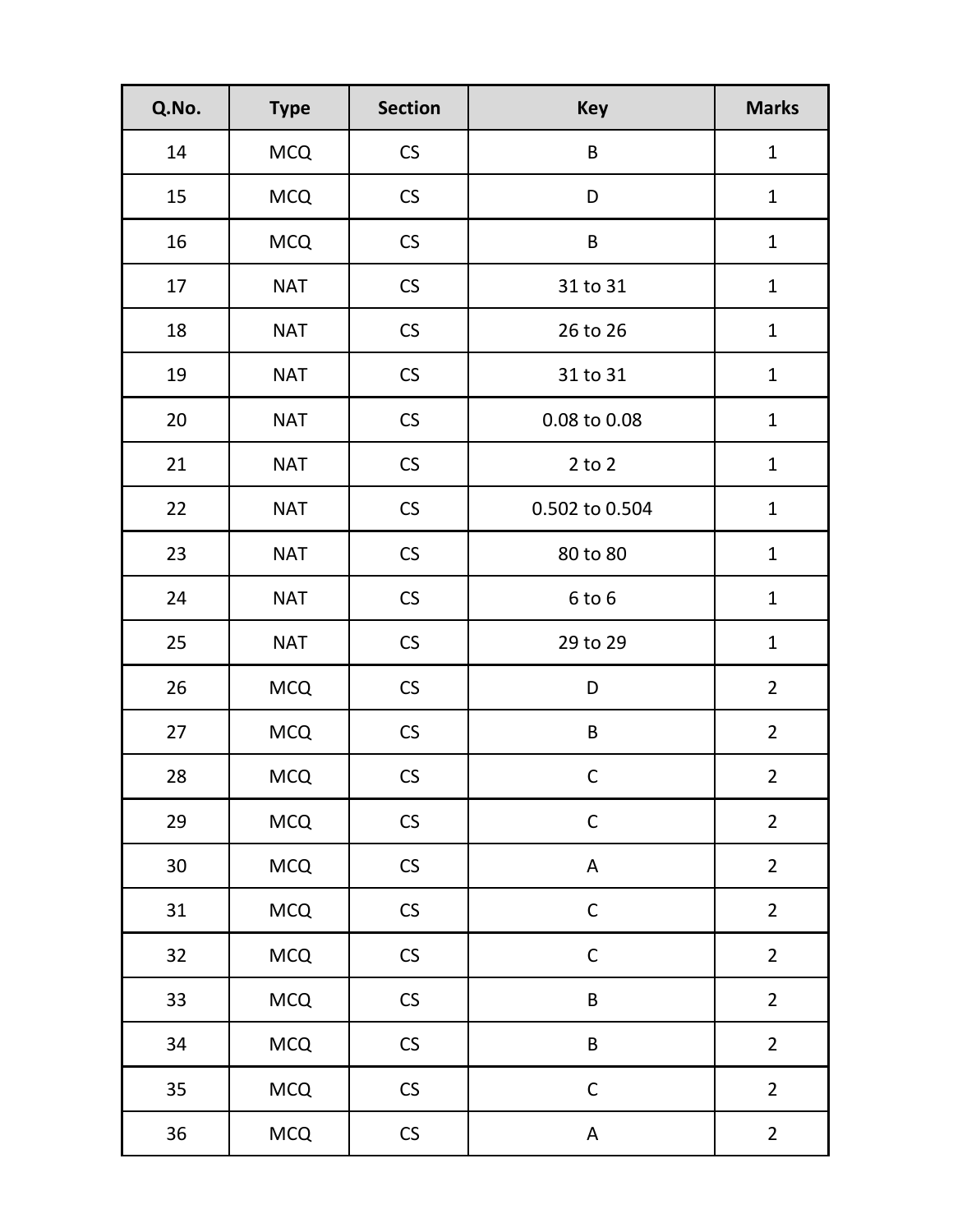| Q.No.           | <b>Type</b> | <b>Section</b>       | <b>Key</b>     | <b>Marks</b>   |
|-----------------|-------------|----------------------|----------------|----------------|
| 14              | <b>MCQ</b>  | $\mathsf{CS}\xspace$ | B              | $\mathbf{1}$   |
| 15              | <b>MCQ</b>  | $\mathsf{CS}\xspace$ | D              | $\mathbf{1}$   |
| 16              | <b>MCQ</b>  | $\mathsf{CS}\xspace$ | $\sf B$        | $\mathbf{1}$   |
| 17              | <b>NAT</b>  | ${\sf CS}$           | 31 to 31       | $\mathbf{1}$   |
| 18              | <b>NAT</b>  | ${\sf CS}$           | 26 to 26       | $\mathbf{1}$   |
| 19              | <b>NAT</b>  | ${\sf CS}$           | 31 to 31       | $\mathbf{1}$   |
| 20              | <b>NAT</b>  | $\mathsf{CS}\xspace$ | 0.08 to 0.08   | $\mathbf{1}$   |
| 21              | <b>NAT</b>  | ${\sf CS}$           | $2$ to $2$     | $\mathbf 1$    |
| 22              | <b>NAT</b>  | $\mathsf{CS}\xspace$ | 0.502 to 0.504 | $\mathbf{1}$   |
| 23              | <b>NAT</b>  | ${\sf CS}$           | 80 to 80       | $\mathbf{1}$   |
| 24              | <b>NAT</b>  | ${\sf CS}$           | 6 to 6         | $\mathbf{1}$   |
| 25              | <b>NAT</b>  | $\mathsf{CS}\xspace$ | 29 to 29       | $\mathbf{1}$   |
| 26              | <b>MCQ</b>  | $\mathsf{CS}\xspace$ | D              | $\overline{2}$ |
| 27              | <b>MCQ</b>  | $\mathsf{CS}\xspace$ | B              | $\overline{2}$ |
| 28              | <b>MCQ</b>  | <b>CS</b>            | C              | $\overline{2}$ |
| 29              | <b>MCQ</b>  | ${\sf CS}$           | $\mathsf{C}$   | $\overline{2}$ |
| 30 <sup>°</sup> | <b>MCQ</b>  | CS                   | $\mathsf A$    | $\overline{2}$ |
| 31              | <b>MCQ</b>  | ${\sf CS}$           | $\mathsf{C}$   | $\overline{2}$ |
| 32              | <b>MCQ</b>  | $\mathsf{CS}\xspace$ | $\mathsf C$    | $\overline{2}$ |
| 33              | <b>MCQ</b>  | ${\sf CS}$           | $\sf B$        | $\overline{2}$ |
| 34              | <b>MCQ</b>  | $\mathsf{CS}\xspace$ | $\sf B$        | $\overline{2}$ |
| 35              | <b>MCQ</b>  | ${\sf CS}$           | $\mathsf C$    | $\overline{2}$ |
| 36              | <b>MCQ</b>  | ${\sf CS}$           | $\mathsf A$    | $\overline{2}$ |